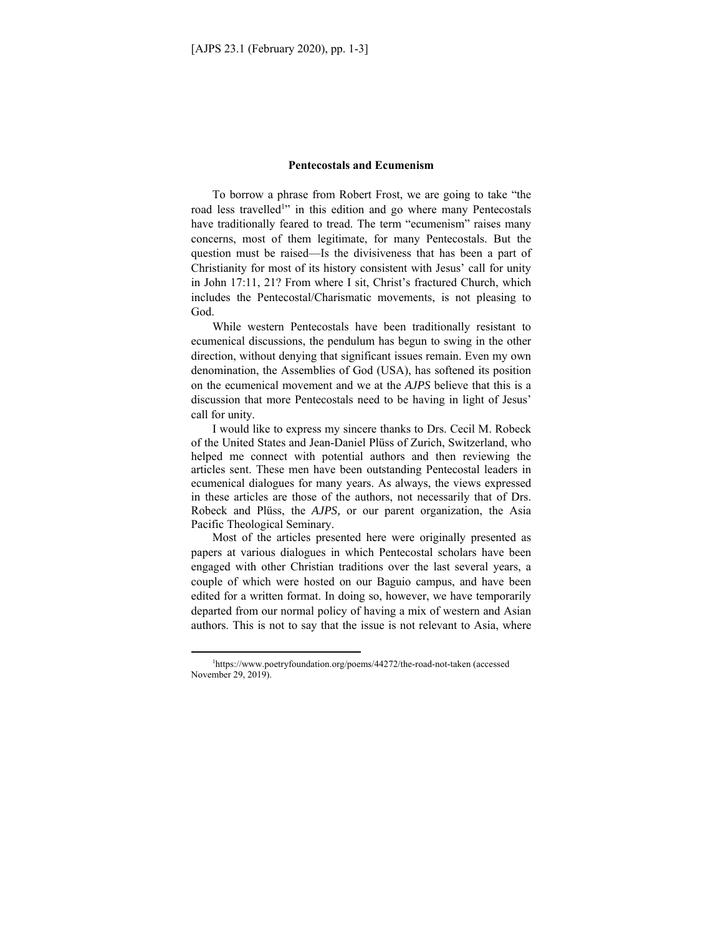## **Pentecostals and Ecumenism**

To borrow a phrase from Robert Frost, we are going to take "the road less travelled<sup>1</sup>" in this edition and go where many Pentecostals have traditionally feared to tread. The term "ecumenism" raises many concerns, most of them legitimate, for many Pentecostals. But the question must be raised—Is the divisiveness that has been a part of Christianity for most of its history consistent with Jesus' call for unity in John 17:11, 21? From where I sit, Christ's fractured Church, which includes the Pentecostal/Charismatic movements, is not pleasing to God.

While western Pentecostals have been traditionally resistant to ecumenical discussions, the pendulum has begun to swing in the other direction, without denying that significant issues remain. Even my own denomination, the Assemblies of God (USA), has softened its position on the ecumenical movement and we at the *AJPS* believe that this is a discussion that more Pentecostals need to be having in light of Jesus' call for unity.

I would like to express my sincere thanks to Drs. Cecil M. Robeck of the United States and Jean-Daniel Plüss of Zurich, Switzerland, who helped me connect with potential authors and then reviewing the articles sent. These men have been outstanding Pentecostal leaders in ecumenical dialogues for many years. As always, the views expressed in these articles are those of the authors, not necessarily that of Drs. Robeck and Plüss, the *AJPS,* or our parent organization, the Asia Pacific Theological Seminary.

Most of the articles presented here were originally presented as papers at various dialogues in which Pentecostal scholars have been engaged with other Christian traditions over the last several years, a couple of which were hosted on our Baguio campus, and have been edited for a written format. In doing so, however, we have temporarily departed from our normal policy of having a mix of western and Asian authors. This is not to say that the issue is not relevant to Asia, where

<sup>1</sup> https://www.poetryfoundation.org/poems/44272/the-road-not-taken (accessed November 29, 2019).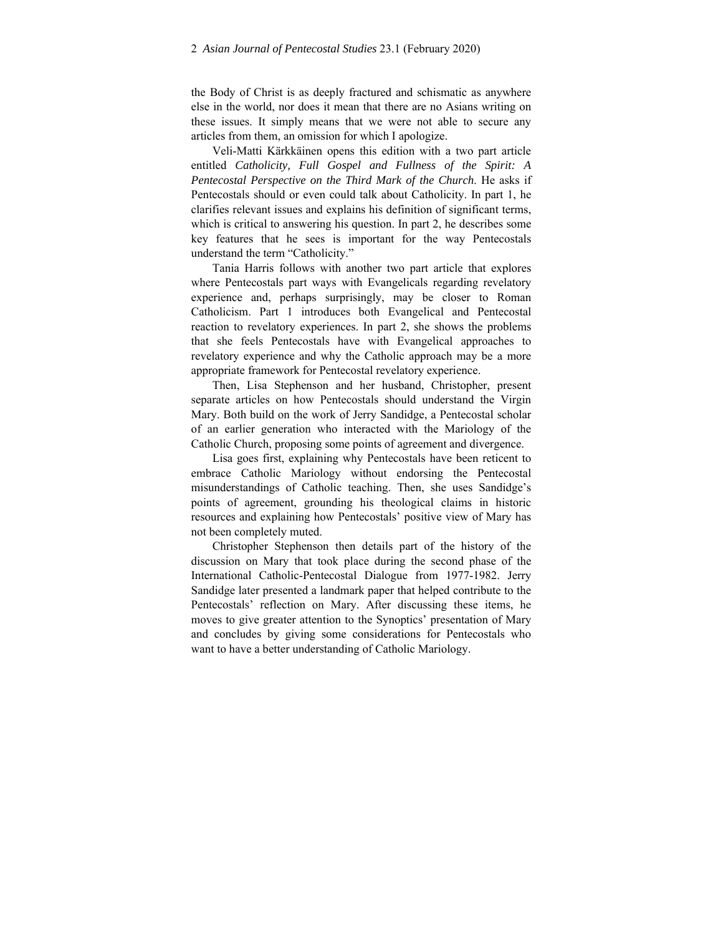the Body of Christ is as deeply fractured and schismatic as anywhere else in the world, nor does it mean that there are no Asians writing on these issues. It simply means that we were not able to secure any articles from them, an omission for which I apologize.

Veli-Matti Kärkkäinen opens this edition with a two part article entitled *Catholicity, Full Gospel and Fullness of the Spirit: A Pentecostal Perspective on the Third Mark of the Church*. He asks if Pentecostals should or even could talk about Catholicity. In part 1, he clarifies relevant issues and explains his definition of significant terms, which is critical to answering his question. In part 2, he describes some key features that he sees is important for the way Pentecostals understand the term "Catholicity."

Tania Harris follows with another two part article that explores where Pentecostals part ways with Evangelicals regarding revelatory experience and, perhaps surprisingly, may be closer to Roman Catholicism. Part 1 introduces both Evangelical and Pentecostal reaction to revelatory experiences. In part 2, she shows the problems that she feels Pentecostals have with Evangelical approaches to revelatory experience and why the Catholic approach may be a more appropriate framework for Pentecostal revelatory experience.

Then, Lisa Stephenson and her husband, Christopher, present separate articles on how Pentecostals should understand the Virgin Mary. Both build on the work of Jerry Sandidge, a Pentecostal scholar of an earlier generation who interacted with the Mariology of the Catholic Church, proposing some points of agreement and divergence.

Lisa goes first, explaining why Pentecostals have been reticent to embrace Catholic Mariology without endorsing the Pentecostal misunderstandings of Catholic teaching. Then, she uses Sandidge's points of agreement, grounding his theological claims in historic resources and explaining how Pentecostals' positive view of Mary has not been completely muted.

Christopher Stephenson then details part of the history of the discussion on Mary that took place during the second phase of the International Catholic-Pentecostal Dialogue from 1977-1982. Jerry Sandidge later presented a landmark paper that helped contribute to the Pentecostals' reflection on Mary. After discussing these items, he moves to give greater attention to the Synoptics' presentation of Mary and concludes by giving some considerations for Pentecostals who want to have a better understanding of Catholic Mariology.